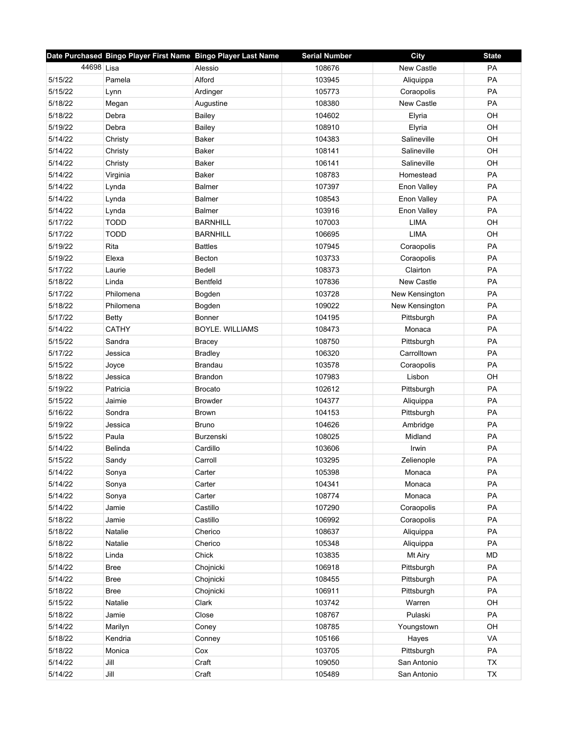|            | Date Purchased Bingo Player First Name Bingo Player Last Name |                        | <b>Serial Number</b> | City              | <b>State</b> |
|------------|---------------------------------------------------------------|------------------------|----------------------|-------------------|--------------|
| 44698 Lisa |                                                               | Alessio                | 108676               | New Castle        | PA           |
| 5/15/22    | Pamela                                                        | Alford                 | 103945               | Aliquippa         | PA           |
| 5/15/22    | Lynn                                                          | Ardinger               | 105773               | Coraopolis        | <b>PA</b>    |
| 5/18/22    | Megan                                                         | Augustine              | 108380               | <b>New Castle</b> | PA           |
| 5/18/22    | Debra                                                         | <b>Bailey</b>          | 104602               | Elyria            | OH           |
| 5/19/22    | Debra                                                         | <b>Bailey</b>          | 108910               | Elyria            | OH           |
| 5/14/22    | Christy                                                       | Baker                  | 104383               | Salineville       | OH           |
| 5/14/22    | Christy                                                       | Baker                  | 108141               | Salineville       | OH           |
| 5/14/22    | Christy                                                       | Baker                  | 106141               | Salineville       | OH           |
| 5/14/22    | Virginia                                                      | Baker                  | 108783               | Homestead         | PA           |
| 5/14/22    | Lynda                                                         | <b>Balmer</b>          | 107397               | Enon Valley       | PA           |
| 5/14/22    | Lynda                                                         | <b>Balmer</b>          | 108543               | Enon Valley       | PA           |
| 5/14/22    | Lynda                                                         | <b>Balmer</b>          | 103916               | Enon Valley       | PA           |
| 5/17/22    | <b>TODD</b>                                                   | <b>BARNHILL</b>        | 107003               | <b>LIMA</b>       | OH           |
| 5/17/22    | <b>TODD</b>                                                   | <b>BARNHILL</b>        | 106695               | LIMA              | OH           |
| 5/19/22    | Rita                                                          | <b>Battles</b>         | 107945               | Coraopolis        | PA           |
| 5/19/22    | Elexa                                                         | <b>Becton</b>          | 103733               | Coraopolis        | PA           |
| 5/17/22    | Laurie                                                        | Bedell                 | 108373               | Clairton          | PA           |
| 5/18/22    | Linda                                                         | Bentfeld               | 107836               | <b>New Castle</b> | PA           |
| 5/17/22    | Philomena                                                     | Bogden                 | 103728               | New Kensington    | PA           |
| 5/18/22    | Philomena                                                     | Bogden                 | 109022               | New Kensington    | PA           |
| 5/17/22    | <b>Betty</b>                                                  | Bonner                 | 104195               | Pittsburgh        | PA           |
| 5/14/22    | <b>CATHY</b>                                                  | <b>BOYLE, WILLIAMS</b> | 108473               | Monaca            | PA           |
| 5/15/22    | Sandra                                                        | <b>Bracey</b>          | 108750               | Pittsburgh        | PA           |
| 5/17/22    | Jessica                                                       | <b>Bradley</b>         | 106320               | Carrolltown       | PA           |
| 5/15/22    | Joyce                                                         | Brandau                | 103578               | Coraopolis        | PA           |
| 5/18/22    | Jessica                                                       | <b>Brandon</b>         | 107983               | Lisbon            | OH           |
| 5/19/22    | Patricia                                                      | <b>Brocato</b>         | 102612               | Pittsburgh        | PA           |
| 5/15/22    | Jaimie                                                        | <b>Browder</b>         | 104377               | Aliquippa         | PA           |
| 5/16/22    | Sondra                                                        | <b>Brown</b>           | 104153               | Pittsburgh        | PA           |
| 5/19/22    | Jessica                                                       | <b>Bruno</b>           | 104626               | Ambridge          | PA           |
| 5/15/22    | Paula                                                         | Burzenski              | 108025               | Midland           | PA           |
| 5/14/22    | <b>Belinda</b>                                                | Cardillo               | 103606               | Irwin             | PA           |
| 5/15/22    | Sandy                                                         | Carroll                | 103295               | Zelienople        | PA           |
| 5/14/22    | Sonya                                                         | Carter                 | 105398               | Monaca            | PA           |
| 5/14/22    | Sonya                                                         | Carter                 | 104341               | Monaca            | PA           |
| 5/14/22    | Sonya                                                         | Carter                 | 108774               | Monaca            | PA           |
| 5/14/22    | Jamie                                                         | Castillo               | 107290               | Coraopolis        | PA           |
| 5/18/22    | Jamie                                                         | Castillo               | 106992               | Coraopolis        | PA           |
| 5/18/22    | Natalie                                                       | Cherico                | 108637               | Aliquippa         | PA           |
| 5/18/22    | Natalie                                                       | Cherico                | 105348               | Aliquippa         | PA           |
| 5/18/22    | Linda                                                         | Chick                  | 103835               | Mt Airy           | <b>MD</b>    |
| 5/14/22    | <b>Bree</b>                                                   | Chojnicki              | 106918               | Pittsburgh        | PA           |
| 5/14/22    | <b>Bree</b>                                                   | Chojnicki              | 108455               | Pittsburgh        | PA           |
| 5/18/22    | <b>Bree</b>                                                   | Chojnicki              | 106911               | Pittsburgh        | PA           |
| 5/15/22    | Natalie                                                       | Clark                  | 103742               | Warren            | OH           |
| 5/18/22    | Jamie                                                         | Close                  | 108767               | Pulaski           | PA           |
| 5/14/22    | Marilyn                                                       | Coney                  | 108785               | Youngstown        | OH           |
| 5/18/22    | Kendria                                                       | Conney                 | 105166               | Hayes             | VA           |
| 5/18/22    | Monica                                                        | Cox                    | 103705               | Pittsburgh        | PA           |
| 5/14/22    | Jill                                                          | Craft                  | 109050               | San Antonio       | <b>TX</b>    |
| 5/14/22    | Jill                                                          | Craft                  | 105489               | San Antonio       | TX           |
|            |                                                               |                        |                      |                   |              |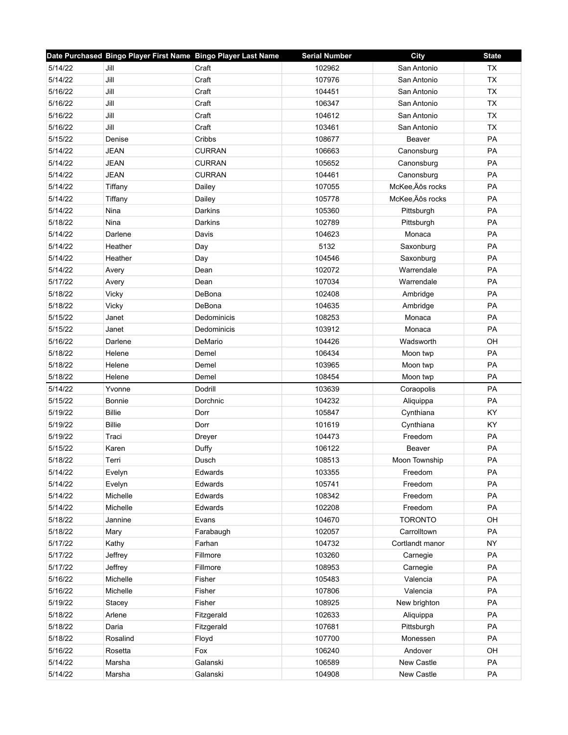|         | Date Purchased Bingo Player First Name Bingo Player Last Name |               | <b>Serial Number</b> | City             | <b>State</b> |
|---------|---------------------------------------------------------------|---------------|----------------------|------------------|--------------|
| 5/14/22 | Jill                                                          | Craft         | 102962               | San Antonio      | <b>TX</b>    |
| 5/14/22 | Jill                                                          | Craft         | 107976               | San Antonio      | <b>TX</b>    |
| 5/16/22 | Jill                                                          | Craft         | 104451               | San Antonio      | TX           |
| 5/16/22 | Jill                                                          | Craft         | 106347               | San Antonio      | <b>TX</b>    |
| 5/16/22 | Jill                                                          | Craft         | 104612               | San Antonio      | <b>TX</b>    |
| 5/16/22 | Jill                                                          | Craft         | 103461               | San Antonio      | <b>TX</b>    |
| 5/15/22 | Denise                                                        | Cribbs        | 108677               | Beaver           | PA           |
| 5/14/22 | <b>JEAN</b>                                                   | <b>CURRAN</b> | 106663               | Canonsburg       | PA           |
| 5/14/22 | JEAN                                                          | <b>CURRAN</b> | 105652               | Canonsburg       | PA           |
| 5/14/22 | <b>JEAN</b>                                                   | <b>CURRAN</b> | 104461               | Canonsburg       | PA           |
| 5/14/22 | Tiffany                                                       | Dailey        | 107055               | McKee, Äôs rocks | PA           |
| 5/14/22 | Tiffany                                                       | Dailey        | 105778               | McKee, Äôs rocks | PA           |
| 5/14/22 | Nina                                                          | Darkins       | 105360               | Pittsburgh       | <b>PA</b>    |
| 5/18/22 | Nina                                                          | Darkins       | 102789               | Pittsburgh       | PA           |
| 5/14/22 | Darlene                                                       | Davis         | 104623               | Monaca           | PA           |
| 5/14/22 | Heather                                                       | Day           | 5132                 | Saxonburg        | PA           |
| 5/14/22 | Heather                                                       | Day           | 104546               | Saxonburg        | PA           |
| 5/14/22 | Avery                                                         | Dean          | 102072               | Warrendale       | PA           |
| 5/17/22 | Avery                                                         | Dean          | 107034               | Warrendale       | PA           |
| 5/18/22 | Vicky                                                         | DeBona        | 102408               | Ambridge         | PA           |
| 5/18/22 | Vicky                                                         | DeBona        | 104635               | Ambridge         | PA           |
| 5/15/22 | Janet                                                         | Dedominicis   | 108253               | Monaca           | PA           |
| 5/15/22 | Janet                                                         | Dedominicis   | 103912               | Monaca           | PA           |
| 5/16/22 | Darlene                                                       | DeMario       | 104426               | Wadsworth        | OH           |
| 5/18/22 | Helene                                                        | Demel         | 106434               | Moon twp         | PA           |
| 5/18/22 | Helene                                                        | Demel         | 103965               | Moon twp         | PA           |
| 5/18/22 | Helene                                                        | Demel         | 108454               | Moon twp         | PA           |
| 5/14/22 | Yvonne                                                        | Dodrill       | 103639               | Coraopolis       | <b>PA</b>    |
| 5/15/22 | <b>Bonnie</b>                                                 | Dorchnic      | 104232               | Aliquippa        | PA           |
| 5/19/22 | <b>Billie</b>                                                 | Dorr          | 105847               | Cynthiana        | KY           |
| 5/19/22 | <b>Billie</b>                                                 | Dorr          | 101619               | Cynthiana        | KY           |
| 5/19/22 | Traci                                                         | Dreyer        | 104473               | Freedom          | PA           |
| 5/15/22 | Karen                                                         | Duffy         | 106122               | Beaver           | PA           |
| 5/18/22 | Terri                                                         | Dusch         | 108513               | Moon Township    | PA           |
| 5/14/22 | Evelyn                                                        | Edwards       | 103355               | Freedom          | PA           |
| 5/14/22 | Evelyn                                                        | Edwards       | 105741               | Freedom          | PA           |
| 5/14/22 | Michelle                                                      | Edwards       | 108342               | Freedom          | PA           |
| 5/14/22 | Michelle                                                      | Edwards       | 102208               | Freedom          | PA           |
| 5/18/22 | Jannine                                                       | Evans         | 104670               | <b>TORONTO</b>   | OH           |
| 5/18/22 | Mary                                                          | Farabaugh     | 102057               | Carrolltown      | PA           |
| 5/17/22 | Kathy                                                         | Farhan        | 104732               | Cortlandt manor  | <b>NY</b>    |
| 5/17/22 | Jeffrey                                                       | Fillmore      | 103260               | Carnegie         | PA           |
| 5/17/22 | Jeffrey                                                       | Fillmore      | 108953               | Carnegie         | PA           |
| 5/16/22 | Michelle                                                      | Fisher        | 105483               | Valencia         | PA           |
| 5/16/22 | Michelle                                                      | Fisher        | 107806               | Valencia         | PA           |
| 5/19/22 | Stacey                                                        | Fisher        | 108925               | New brighton     | PA           |
| 5/18/22 | Arlene                                                        | Fitzgerald    | 102633               | Aliquippa        | PA           |
| 5/18/22 | Daria                                                         | Fitzgerald    | 107681               | Pittsburgh       | PA           |
| 5/18/22 | Rosalind                                                      | Floyd         | 107700               | Monessen         | PA           |
| 5/16/22 | Rosetta                                                       | Fox           | 106240               | Andover          | OH           |
| 5/14/22 | Marsha                                                        | Galanski      | 106589               | New Castle       | PA           |
| 5/14/22 | Marsha                                                        | Galanski      | 104908               | New Castle       | PA           |
|         |                                                               |               |                      |                  |              |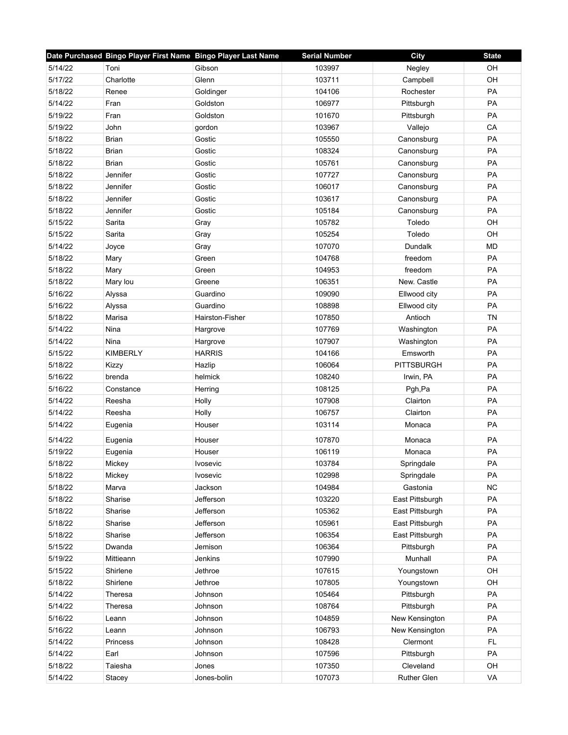|         | Date Purchased Bingo Player First Name Bingo Player Last Name |                 | <b>Serial Number</b> | City              | <b>State</b> |
|---------|---------------------------------------------------------------|-----------------|----------------------|-------------------|--------------|
| 5/14/22 | Toni                                                          | Gibson          | 103997               | Negley            | OH           |
| 5/17/22 | Charlotte                                                     | Glenn           | 103711               | Campbell          | OH           |
| 5/18/22 | Renee                                                         | Goldinger       | 104106               | Rochester         | PA           |
| 5/14/22 | Fran                                                          | Goldston        | 106977               | Pittsburgh        | PA           |
| 5/19/22 | Fran                                                          | Goldston        | 101670               | Pittsburgh        | PA           |
| 5/19/22 | John                                                          | gordon          | 103967               | Vallejo           | CA           |
| 5/18/22 | <b>Brian</b>                                                  | Gostic          | 105550               | Canonsburg        | PA           |
| 5/18/22 | Brian                                                         | Gostic          | 108324               | Canonsburg        | PA           |
| 5/18/22 | Brian                                                         | Gostic          | 105761               | Canonsburg        | PA           |
| 5/18/22 | Jennifer                                                      | Gostic          | 107727               | Canonsburg        | PA           |
| 5/18/22 | Jennifer                                                      | Gostic          | 106017               | Canonsburg        | PA           |
| 5/18/22 | Jennifer                                                      | Gostic          | 103617               | Canonsburg        | PA           |
| 5/18/22 | Jennifer                                                      | Gostic          | 105184               | Canonsburg        | PA           |
| 5/15/22 | Sarita                                                        | Gray            | 105782               | Toledo            | OH           |
| 5/15/22 | Sarita                                                        | Gray            | 105254               | Toledo            | OH           |
| 5/14/22 | Joyce                                                         | Gray            | 107070               | Dundalk           | <b>MD</b>    |
| 5/18/22 | Mary                                                          | Green           | 104768               | freedom           | PA           |
| 5/18/22 | Mary                                                          | Green           | 104953               | freedom           | PA           |
| 5/18/22 | Mary lou                                                      | Greene          | 106351               | New. Castle       | <b>PA</b>    |
| 5/16/22 | Alyssa                                                        | Guardino        | 109090               | Ellwood city      | PA           |
| 5/16/22 | Alyssa                                                        | Guardino        | 108898               | Ellwood city      | PA           |
| 5/18/22 | Marisa                                                        | Hairston-Fisher | 107850               | Antioch           | <b>TN</b>    |
| 5/14/22 | Nina                                                          | Hargrove        | 107769               | Washington        | PA           |
| 5/14/22 | Nina                                                          | Hargrove        | 107907               | Washington        | PA           |
| 5/15/22 | <b>KIMBERLY</b>                                               | <b>HARRIS</b>   | 104166               | Emsworth          | PA           |
| 5/18/22 | Kizzy                                                         | Hazlip          | 106064               | <b>PITTSBURGH</b> | PA           |
| 5/16/22 | brenda                                                        | helmick         | 108240               | Irwin, PA         | PA           |
| 5/16/22 | Constance                                                     | Herring         | 108125               | Pgh, Pa           | PA           |
| 5/14/22 | Reesha                                                        | Holly           | 107908               | Clairton          | PA           |
| 5/14/22 | Reesha                                                        | Holly           | 106757               | Clairton          | <b>PA</b>    |
| 5/14/22 | Eugenia                                                       | Houser          | 103114               | Monaca            | PA           |
| 5/14/22 | Eugenia                                                       | Houser          | 107870               | Monaca            | PA           |
| 5/19/22 | Eugenia                                                       | Houser          | 106119               | Monaca            | PA           |
| 5/18/22 | Mickey                                                        | Ivosevic        | 103784               | Springdale        | PA           |
| 5/18/22 | Mickey                                                        | Ivosevic        | 102998               | Springdale        | <b>PA</b>    |
| 5/18/22 | Marva                                                         | Jackson         | 104984               | Gastonia          | <b>NC</b>    |
| 5/18/22 | Sharise                                                       | Jefferson       | 103220               | East Pittsburgh   | PA           |
| 5/18/22 | Sharise                                                       | Jefferson       | 105362               | East Pittsburgh   | PA           |
| 5/18/22 | Sharise                                                       | Jefferson       | 105961               | East Pittsburgh   | PA           |
| 5/18/22 | Sharise                                                       | Jefferson       | 106354               | East Pittsburgh   | PA           |
| 5/15/22 | Dwanda                                                        | Jemison         | 106364               | Pittsburgh        | PA           |
| 5/19/22 | Mittieann                                                     | Jenkins         | 107990               | Munhall           | PA           |
| 5/15/22 | Shirlene                                                      | Jethroe         | 107615               | Youngstown        | OH           |
| 5/18/22 | Shirlene                                                      | Jethroe         | 107805               | Youngstown        | OH           |
| 5/14/22 | Theresa                                                       | Johnson         | 105464               | Pittsburgh        | PA           |
| 5/14/22 | Theresa                                                       | Johnson         | 108764               | Pittsburgh        | PA           |
| 5/16/22 | Leann                                                         | Johnson         | 104859               | New Kensington    | PA           |
| 5/16/22 | Leann                                                         | Johnson         | 106793               | New Kensington    | PA           |
| 5/14/22 | Princess                                                      | Johnson         | 108428               | Clermont          | <b>FL</b>    |
| 5/14/22 | Earl                                                          | Johnson         | 107596               | Pittsburgh        | PA           |
| 5/18/22 | Taiesha                                                       | Jones           | 107350               | Cleveland         | OH           |
| 5/14/22 | Stacey                                                        | Jones-bolin     | 107073               | Ruther Glen       | VA           |
|         |                                                               |                 |                      |                   |              |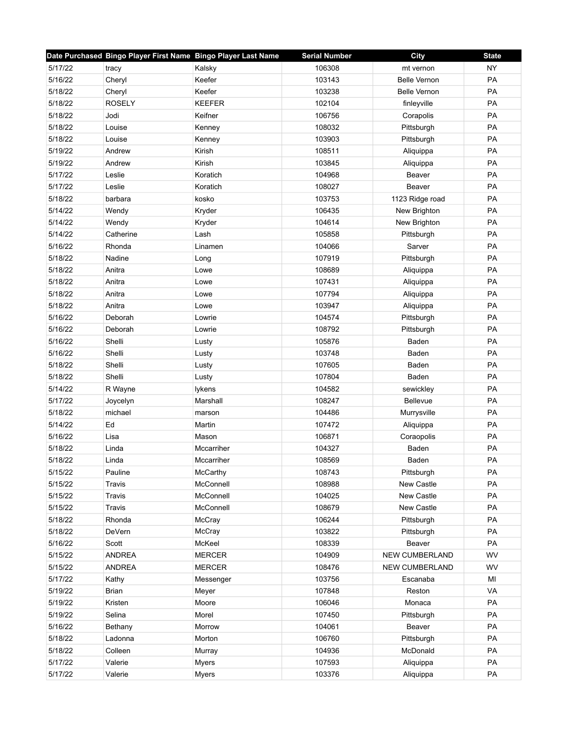|         | Date Purchased Bingo Player First Name Bingo Player Last Name |               | <b>Serial Number</b> | City                | <b>State</b> |
|---------|---------------------------------------------------------------|---------------|----------------------|---------------------|--------------|
| 5/17/22 | tracy                                                         | Kalsky        | 106308               | mt vernon           | <b>NY</b>    |
| 5/16/22 | Cheryl                                                        | Keefer        | 103143               | <b>Belle Vernon</b> | PA           |
| 5/18/22 | Cheryl                                                        | Keefer        | 103238               | <b>Belle Vernon</b> | PA           |
| 5/18/22 | <b>ROSELY</b>                                                 | <b>KEEFER</b> | 102104               | finleyville         | <b>PA</b>    |
| 5/18/22 | Jodi                                                          | Keifner       | 106756               | Corapolis           | PA           |
| 5/18/22 | Louise                                                        | Kenney        | 108032               | Pittsburgh          | PA           |
| 5/18/22 | Louise                                                        | Kenney        | 103903               | Pittsburgh          | PA           |
| 5/19/22 | Andrew                                                        | Kirish        | 108511               | Aliquippa           | PA           |
| 5/19/22 | Andrew                                                        | Kirish        | 103845               | Aliquippa           | PA           |
| 5/17/22 | Leslie                                                        | Koratich      | 104968               | Beaver              | PA           |
| 5/17/22 | Leslie                                                        | Koratich      | 108027               | Beaver              | PA           |
| 5/18/22 | barbara                                                       | kosko         | 103753               | 1123 Ridge road     | PA           |
| 5/14/22 | Wendy                                                         | Kryder        | 106435               | New Brighton        | <b>PA</b>    |
| 5/14/22 | Wendy                                                         | Kryder        | 104614               | New Brighton        | PA           |
| 5/14/22 | Catherine                                                     | Lash          | 105858               | Pittsburgh          | PA           |
| 5/16/22 | Rhonda                                                        | Linamen       | 104066               | Sarver              | PA           |
| 5/18/22 | Nadine                                                        | Long          | 107919               | Pittsburgh          | PA           |
| 5/18/22 | Anitra                                                        | Lowe          | 108689               | Aliquippa           | PA           |
| 5/18/22 | Anitra                                                        | Lowe          | 107431               | Aliquippa           | PA           |
| 5/18/22 | Anitra                                                        | Lowe          | 107794               | Aliquippa           | PA           |
| 5/18/22 | Anitra                                                        | Lowe          | 103947               | Aliquippa           | PA           |
| 5/16/22 | Deborah                                                       | Lowrie        | 104574               | Pittsburgh          | PA           |
| 5/16/22 | Deborah                                                       | Lowrie        | 108792               | Pittsburgh          | PA           |
| 5/16/22 | Shelli                                                        | Lusty         | 105876               | Baden               | PA           |
| 5/16/22 | Shelli                                                        | Lusty         | 103748               | Baden               | PA           |
| 5/18/22 | Shelli                                                        | Lusty         | 107605               | Baden               | PA           |
| 5/18/22 | Shelli                                                        | Lusty         | 107804               | Baden               | PA           |
| 5/14/22 | R Wayne                                                       | lykens        | 104582               | sewickley           | PA           |
| 5/17/22 | Joycelyn                                                      | Marshall      | 108247               | Bellevue            | PA           |
| 5/18/22 | michael                                                       | marson        | 104486               | Murrysville         | PA           |
| 5/14/22 | Ed                                                            | Martin        | 107472               | Aliquippa           | PA           |
| 5/16/22 | Lisa                                                          | Mason         | 106871               | Coraopolis          | PA           |
| 5/18/22 | Linda                                                         | Mccarriher    | 104327               | Baden               | PA           |
| 5/18/22 | Linda                                                         | Mccarriher    | 108569               | Baden               | PA           |
| 5/15/22 | Pauline                                                       | McCarthy      | 108743               | Pittsburgh          | PA           |
| 5/15/22 | Travis                                                        | McConnell     | 108988               | New Castle          | PA           |
| 5/15/22 | Travis                                                        | McConnell     | 104025               | New Castle          | PA           |
| 5/15/22 | Travis                                                        | McConnell     | 108679               | New Castle          | PA           |
| 5/18/22 | Rhonda                                                        | McCray        | 106244               | Pittsburgh          | PA           |
| 5/18/22 | DeVern                                                        | McCray        | 103822               | Pittsburgh          | PA           |
| 5/16/22 | Scott                                                         | McKeel        | 108339               | Beaver              | PA           |
| 5/15/22 | <b>ANDREA</b>                                                 | <b>MERCER</b> | 104909               | NEW CUMBERLAND      | WV           |
| 5/15/22 | <b>ANDREA</b>                                                 | <b>MERCER</b> | 108476               | NEW CUMBERLAND      | WV           |
| 5/17/22 | Kathy                                                         | Messenger     | 103756               | Escanaba            | MI           |
| 5/19/22 | <b>Brian</b>                                                  | Meyer         | 107848               | Reston              | VA           |
| 5/19/22 | Kristen                                                       | Moore         | 106046               | Monaca              | PA           |
| 5/19/22 | Selina                                                        | Morel         | 107450               | Pittsburgh          | PA           |
| 5/16/22 | Bethany                                                       | Morrow        | 104061               | Beaver              | PA           |
| 5/18/22 | Ladonna                                                       | Morton        | 106760               | Pittsburgh          | PA           |
| 5/18/22 | Colleen                                                       | Murray        | 104936               | McDonald            | PA           |
| 5/17/22 | Valerie                                                       | <b>Myers</b>  | 107593               | Aliquippa           | PA           |
| 5/17/22 | Valerie                                                       | <b>Myers</b>  | 103376               | Aliquippa           | PA           |
|         |                                                               |               |                      |                     |              |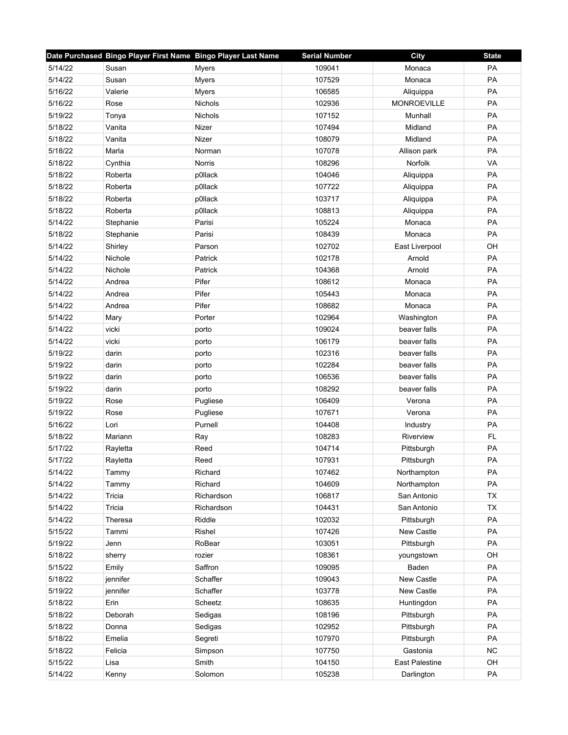|         | Date Purchased Bingo Player First Name Bingo Player Last Name |                | <b>Serial Number</b> | City                  | <b>State</b> |
|---------|---------------------------------------------------------------|----------------|----------------------|-----------------------|--------------|
| 5/14/22 | Susan                                                         | Myers          | 109041               | Monaca                | PA           |
| 5/14/22 | Susan                                                         | Myers          | 107529               | Monaca                | PA           |
| 5/16/22 | Valerie                                                       | Myers          | 106585               | Aliquippa             | PA           |
| 5/16/22 | Rose                                                          | <b>Nichols</b> | 102936               | <b>MONROEVILLE</b>    | PA           |
| 5/19/22 | Tonya                                                         | <b>Nichols</b> | 107152               | Munhall               | PA           |
| 5/18/22 | Vanita                                                        | Nizer          | 107494               | Midland               | PA           |
| 5/18/22 | Vanita                                                        | Nizer          | 108079               | Midland               | PA           |
| 5/18/22 | Marla                                                         | Norman         | 107078               | Allison park          | PA           |
| 5/18/22 | Cynthia                                                       | Norris         | 108296               | Norfolk               | VA           |
| 5/18/22 | Roberta                                                       | p0llack        | 104046               | Aliquippa             | PA           |
| 5/18/22 | Roberta                                                       | p0llack        | 107722               | Aliquippa             | PA           |
| 5/18/22 | Roberta                                                       | p0llack        | 103717               | Aliquippa             | PA           |
| 5/18/22 | Roberta                                                       | p0llack        | 108813               | Aliquippa             | PA           |
| 5/14/22 | Stephanie                                                     | Parisi         | 105224               | Monaca                | PA           |
| 5/18/22 | Stephanie                                                     | Parisi         | 108439               | Monaca                | PA           |
| 5/14/22 | Shirley                                                       | Parson         | 102702               | East Liverpool        | OH           |
| 5/14/22 | Nichole                                                       | Patrick        | 102178               | Arnold                | PA           |
| 5/14/22 | Nichole                                                       | Patrick        | 104368               | Arnold                | PA           |
| 5/14/22 | Andrea                                                        | Pifer          | 108612               | Monaca                | <b>PA</b>    |
| 5/14/22 | Andrea                                                        | Pifer          | 105443               | Monaca                | PA           |
| 5/14/22 | Andrea                                                        | Pifer          | 108682               | Monaca                | PA           |
| 5/14/22 | Mary                                                          | Porter         | 102964               | Washington            | PA           |
| 5/14/22 | vicki                                                         | porto          | 109024               | beaver falls          | PA           |
| 5/14/22 | vicki                                                         | porto          | 106179               | beaver falls          | PA           |
| 5/19/22 | darin                                                         | porto          | 102316               | beaver falls          | PA           |
| 5/19/22 | darin                                                         | porto          | 102284               | beaver falls          | PA           |
| 5/19/22 | darin                                                         | porto          | 106536               | beaver falls          | PA           |
| 5/19/22 | darin                                                         | porto          | 108292               | beaver falls          | PA           |
| 5/19/22 | Rose                                                          | Pugliese       | 106409               | Verona                | PA           |
| 5/19/22 | Rose                                                          | Pugliese       | 107671               | Verona                | PA           |
| 5/16/22 | Lori                                                          | Purnell        | 104408               | Industry              | PA           |
| 5/18/22 | Mariann                                                       | Ray            | 108283               | Riverview             | <b>FL</b>    |
| 5/17/22 | Rayletta                                                      | Reed           | 104714               | Pittsburgh            | PA           |
| 5/17/22 | Rayletta                                                      | Reed           | 107931               | Pittsburgh            | PA           |
| 5/14/22 | Tammy                                                         | Richard        | 107462               | Northampton           | PA           |
| 5/14/22 | Tammy                                                         | Richard        | 104609               | Northampton           | PA           |
| 5/14/22 | Tricia                                                        | Richardson     | 106817               | San Antonio           | <b>TX</b>    |
| 5/14/22 | Tricia                                                        | Richardson     | 104431               | San Antonio           | <b>TX</b>    |
| 5/14/22 | Theresa                                                       | Riddle         | 102032               | Pittsburgh            | PA           |
| 5/15/22 | Tammi                                                         | Rishel         | 107426               | New Castle            | PA           |
| 5/19/22 | Jenn                                                          | RoBear         | 103051               | Pittsburgh            | PA           |
| 5/18/22 | sherry                                                        | rozier         | 108361               | youngstown            | OH           |
| 5/15/22 | Emily                                                         | Saffron        | 109095               | Baden                 | PA           |
| 5/18/22 | jennifer                                                      | Schaffer       | 109043               | New Castle            | PA           |
| 5/19/22 | jennifer                                                      | Schaffer       | 103778               | New Castle            | PA           |
| 5/18/22 | Erin                                                          | Scheetz        | 108635               | Huntingdon            | PA           |
| 5/18/22 | Deborah                                                       | Sedigas        | 108196               | Pittsburgh            | PA           |
| 5/18/22 | Donna                                                         | Sedigas        | 102952               | Pittsburgh            | PA           |
| 5/18/22 | Emelia                                                        | Segreti        | 107970               | Pittsburgh            | PA           |
| 5/18/22 | Felicia                                                       | Simpson        | 107750               | Gastonia              | <b>NC</b>    |
| 5/15/22 | Lisa                                                          | Smith          | 104150               | <b>East Palestine</b> | OH           |
| 5/14/22 | Kenny                                                         | Solomon        | 105238               | Darlington            | PA           |